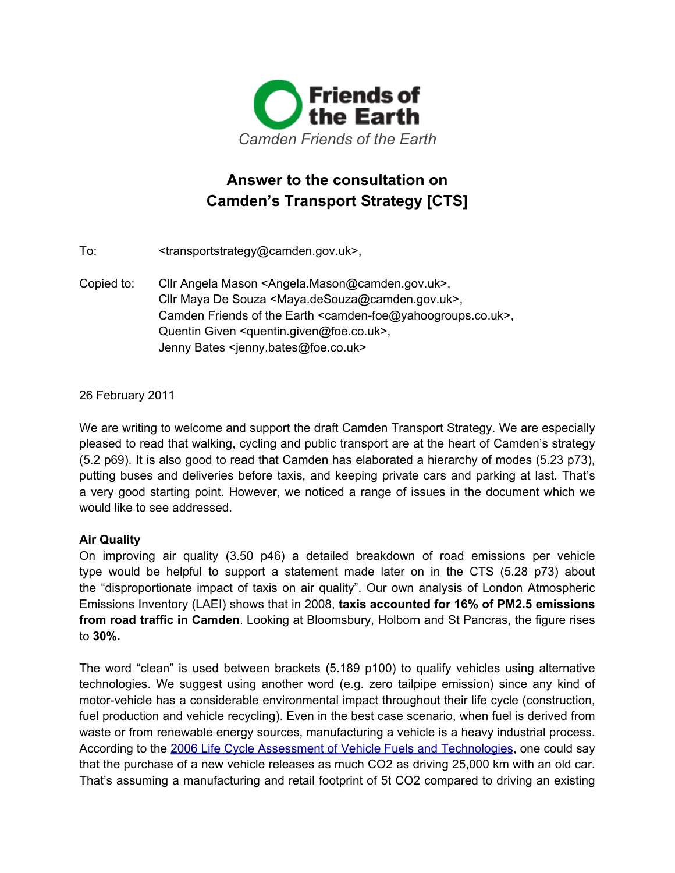

# **Answer to the consultation on Camden's Transport Strategy [CTS]**

To: <transportstrategy@camden.gov.uk>,

Copied to: Cllr Angela Mason <Angela.Mason@camden.gov.uk>, Cllr Maya De Souza <Maya.deSouza@camden.gov.uk>, Camden Friends of the Earth <camden-foe@yahoogroups.co.uk>, Quentin Given <quentin.given@foe.co.uk>, Jenny Bates <jenny.bates@foe.co.uk>

26 February 2011

We are writing to welcome and support the draft Camden Transport Strategy. We are especially pleased to read that walking, cycling and public transport are at the heart of Camden's strategy (5.2 p69). It is also good to read that Camden has elaborated a hierarchy of modes (5.23 p73), putting buses and deliveries before taxis, and keeping private cars and parking at last. That's a very good starting point. However, we noticed a range of issues in the document which we would like to see addressed.

# **Air Quality**

On improving air quality (3.50 p46) a detailed breakdown of road emissions per vehicle type would be helpful to support a statement made later on in the CTS (5.28 p73) about the "disproportionate impact of taxis on air quality". Our own analysis of London Atmospheric Emissions Inventory (LAEI) shows that in 2008, **taxis accounted for 16% of PM2.5 emissions from road traffic in Camden**. Looking at Bloomsbury, Holborn and St Pancras, the figure rises to **30%.**

The word "clean" is used between brackets (5.189 p100) to qualify vehicles using alternative technologies. We suggest using another word (e.g. zero tailpipe emission) since any kind of motor-vehicle has a considerable environmental impact throughout their life cycle (construction, fuel production and vehicle recycling). Even in the best case scenario, when fuel is derived from waste or from renewable energy sources, manufacturing a vehicle is a heavy industrial process. According to the [2006](http://www.google.com/url?q=http%3A%2F%2Fwww.travelfootprint.org%2Fdocs%2FCamden_LCA_Report_FINAL_10_03_2006.pdf&sa=D&sntz=1&usg=AFQjCNEenuPmPvLe1akGroaKXBNNiD3b5g) Life [Cycle](http://www.google.com/url?q=http%3A%2F%2Fwww.travelfootprint.org%2Fdocs%2FCamden_LCA_Report_FINAL_10_03_2006.pdf&sa=D&sntz=1&usg=AFQjCNEenuPmPvLe1akGroaKXBNNiD3b5g) A[ssessme](http://www.google.com/url?q=http%3A%2F%2Fwww.travelfootprint.org%2Fdocs%2FCamden_LCA_Report_FINAL_10_03_2006.pdf&sa=D&sntz=1&usg=AFQjCNEenuPmPvLe1akGroaKXBNNiD3b5g)nt of [Vehicle](http://www.google.com/url?q=http%3A%2F%2Fwww.travelfootprint.org%2Fdocs%2FCamden_LCA_Report_FINAL_10_03_2006.pdf&sa=D&sntz=1&usg=AFQjCNEenuPmPvLe1akGroaKXBNNiD3b5g) Fuels and Techn[olog](http://www.google.com/url?q=http%3A%2F%2Fwww.travelfootprint.org%2Fdocs%2FCamden_LCA_Report_FINAL_10_03_2006.pdf&sa=D&sntz=1&usg=AFQjCNEenuPmPvLe1akGroaKXBNNiD3b5g)i[es](http://www.google.com/url?q=http%3A%2F%2Fwww.travelfootprint.org%2Fdocs%2FCamden_LCA_Report_FINAL_10_03_2006.pdf&sa=D&sntz=1&usg=AFQjCNEenuPmPvLe1akGroaKXBNNiD3b5g), [one](http://www.google.com/url?q=http%3A%2F%2Fwww.travelfootprint.org%2Fdocs%2FCamden_LCA_Report_FINAL_10_03_2006.pdf&sa=D&sntz=1&usg=AFQjCNEenuPmPvLe1akGroaKXBNNiD3b5g) could sa[y](http://www.google.com/url?q=http%3A%2F%2Fwww.travelfootprint.org%2Fdocs%2FCamden_LCA_Report_FINAL_10_03_2006.pdf&sa=D&sntz=1&usg=AFQjCNEenuPmPvLe1akGroaKXBNNiD3b5g) that the purchase of a new vehicle releases as much CO2 as driving 25,000 km with an old car. That's assuming a manufacturing and retail footprint of 5t CO2 compared to driving an existing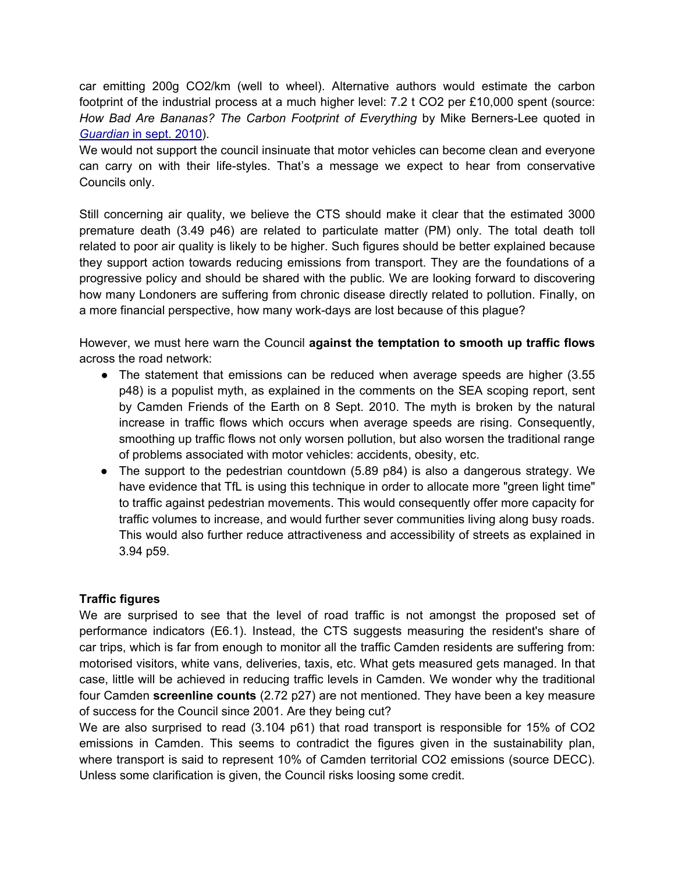car emitting 200g CO2/km (well to wheel). Alternative authors would estimate the carbon footprint of the industrial process at a much higher level: 7.2 t CO2 per £10,000 spent (source: *How Bad Are Bananas? The Carbon Footprint of Everything* by Mike Berners-Lee quoted in *[Guardian](http://www.google.com/url?q=http%3A%2F%2Fgu.com%2Fp%2F2jzzk&sa=D&sntz=1&usg=AFQjCNGjSCWKnvmElU-60pU5qRo4nNFETA)* [in](http://www.google.com/url?q=http%3A%2F%2Fgu.com%2Fp%2F2jzzk&sa=D&sntz=1&usg=AFQjCNGjSCWKnvmElU-60pU5qRo4nNFETA) [sept.](http://www.google.com/url?q=http%3A%2F%2Fgu.com%2Fp%2F2jzzk&sa=D&sntz=1&usg=AFQjCNGjSCWKnvmElU-60pU5qRo4nNFETA) [20](http://www.google.com/url?q=http%3A%2F%2Fgu.com%2Fp%2F2jzzk&sa=D&sntz=1&usg=AFQjCNGjSCWKnvmElU-60pU5qRo4nNFETA)10[\).](http://www.google.com/url?q=http%3A%2F%2Fgu.com%2Fp%2F2jzzk&sa=D&sntz=1&usg=AFQjCNGjSCWKnvmElU-60pU5qRo4nNFETA)

We would not support the council insinuate that motor vehicles can become clean and everyone can carry on with their life-styles. That's a message we expect to hear from conservative Councils only.

Still concerning air quality, we believe the CTS should make it clear that the estimated 3000 premature death (3.49 p46) are related to particulate matter (PM) only. The total death toll related to poor air quality is likely to be higher. Such figures should be better explained because they support action towards reducing emissions from transport. They are the foundations of a progressive policy and should be shared with the public. We are looking forward to discovering how many Londoners are suffering from chronic disease directly related to pollution. Finally, on a more financial perspective, how many work-days are lost because of this plague?

However, we must here warn the Council **against the temptation to smooth up traffic flows** across the road network:

- The statement that emissions can be reduced when average speeds are higher (3.55) p48) is a populist myth, as explained in the comments on the SEA scoping report, sent by Camden Friends of the Earth on 8 Sept. 2010. The myth is broken by the natural increase in traffic flows which occurs when average speeds are rising. Consequently, smoothing up traffic flows not only worsen pollution, but also worsen the traditional range of problems associated with motor vehicles: accidents, obesity, etc.
- The support to the pedestrian countdown (5.89 p84) is also a dangerous strategy. We have evidence that TfL is using this technique in order to allocate more "green light time" to traffic against pedestrian movements. This would consequently offer more capacity for traffic volumes to increase, and would further sever communities living along busy roads. This would also further reduce attractiveness and accessibility of streets as explained in 3.94 p59.

# **Traffic figures**

We are surprised to see that the level of road traffic is not amongst the proposed set of performance indicators (E6.1). Instead, the CTS suggests measuring the resident's share of car trips, which is far from enough to monitor all the traffic Camden residents are suffering from: motorised visitors, white vans, deliveries, taxis, etc. What gets measured gets managed. In that case, little will be achieved in reducing traffic levels in Camden. We wonder why the traditional four Camden **screenline counts** (2.72 p27) are not mentioned. They have been a key measure of success for the Council since 2001. Are they being cut?

We are also surprised to read (3.104 p61) that road transport is responsible for 15% of CO2 emissions in Camden. This seems to contradict the figures given in the sustainability plan, where transport is said to represent 10% of Camden territorial CO2 emissions (source DECC). Unless some clarification is given, the Council risks loosing some credit.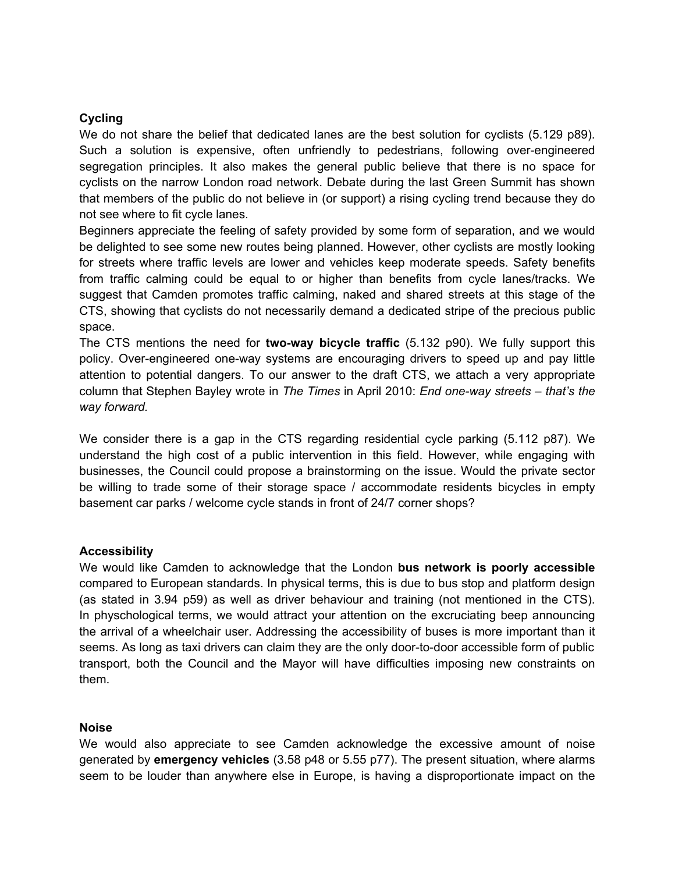## **Cycling**

We do not share the belief that dedicated lanes are the best solution for cyclists (5.129 p89). Such a solution is expensive, often unfriendly to pedestrians, following over-engineered segregation principles. It also makes the general public believe that there is no space for cyclists on the narrow London road network. Debate during the last Green Summit has shown that members of the public do not believe in (or support) a rising cycling trend because they do not see where to fit cycle lanes.

Beginners appreciate the feeling of safety provided by some form of separation, and we would be delighted to see some new routes being planned. However, other cyclists are mostly looking for streets where traffic levels are lower and vehicles keep moderate speeds. Safety benefits from traffic calming could be equal to or higher than benefits from cycle lanes/tracks. We suggest that Camden promotes traffic calming, naked and shared streets at this stage of the CTS, showing that cyclists do not necessarily demand a dedicated stripe of the precious public space.

The CTS mentions the need for **two-way bicycle traffic** (5.132 p90). We fully support this policy. Over-engineered one-way systems are encouraging drivers to speed up and pay little attention to potential dangers. To our answer to the draft CTS, we attach a very appropriate column that Stephen Bayley wrote in *The Times* in April 2010: *End one-way streets – that's the way forward.*

We consider there is a gap in the CTS regarding residential cycle parking (5.112 p87). We understand the high cost of a public intervention in this field. However, while engaging with businesses, the Council could propose a brainstorming on the issue. Would the private sector be willing to trade some of their storage space / accommodate residents bicycles in empty basement car parks / welcome cycle stands in front of 24/7 corner shops?

#### **Accessibility**

We would like Camden to acknowledge that the London **bus network is poorly accessible** compared to European standards. In physical terms, this is due to bus stop and platform design (as stated in 3.94 p59) as well as driver behaviour and training (not mentioned in the CTS). In physchological terms, we would attract your attention on the excruciating beep announcing the arrival of a wheelchair user. Addressing the accessibility of buses is more important than it seems. As long as taxi drivers can claim they are the only door-to-door accessible form of public transport, both the Council and the Mayor will have difficulties imposing new constraints on them.

#### **Noise**

We would also appreciate to see Camden acknowledge the excessive amount of noise generated by **emergency vehicles** (3.58 p48 or 5.55 p77). The present situation, where alarms seem to be louder than anywhere else in Europe, is having a disproportionate impact on the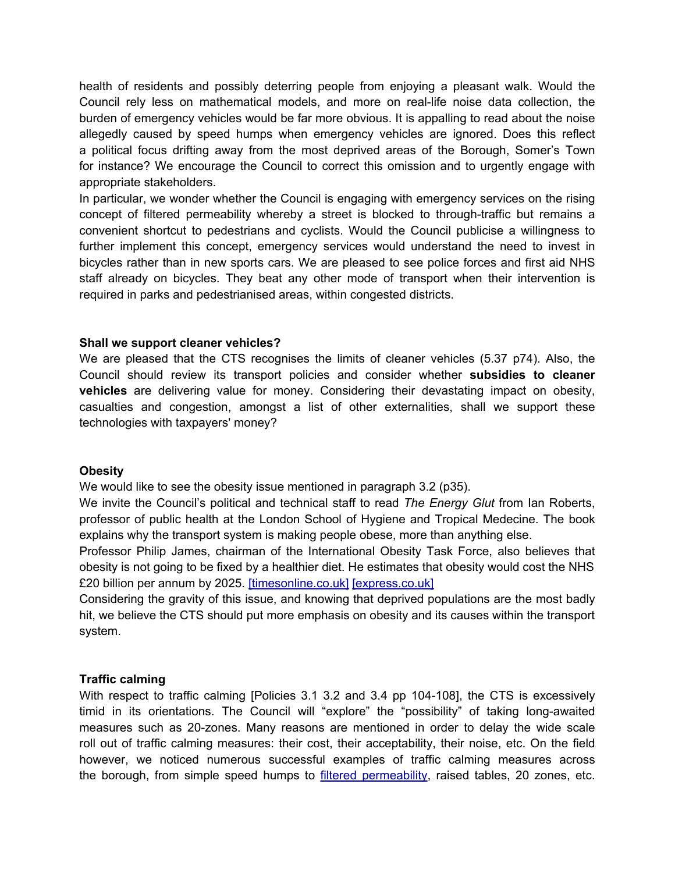health of residents and possibly deterring people from enjoying a pleasant walk. Would the Council rely less on mathematical models, and more on real-life noise data collection, the burden of emergency vehicles would be far more obvious. It is appalling to read about the noise allegedly caused by speed humps when emergency vehicles are ignored. Does this reflect a political focus drifting away from the most deprived areas of the Borough, Somer's Town for instance? We encourage the Council to correct this omission and to urgently engage with appropriate stakeholders.

In particular, we wonder whether the Council is engaging with emergency services on the rising concept of filtered permeability whereby a street is blocked to through-traffic but remains a convenient shortcut to pedestrians and cyclists. Would the Council publicise a willingness to further implement this concept, emergency services would understand the need to invest in bicycles rather than in new sports cars. We are pleased to see police forces and first aid NHS staff already on bicycles. They beat any other mode of transport when their intervention is required in parks and pedestrianised areas, within congested districts.

### **Shall we support cleaner vehicles?**

We are pleased that the CTS recognises the limits of cleaner vehicles (5.37 p74). Also, the Council should review its transport policies and consider whether **subsidies to cleaner vehicles** are delivering value for money. Considering their devastating impact on obesity, casualties and congestion, amongst a list of other externalities, shall we support these technologies with taxpayers' money?

#### **Obesity**

We would like to see the obesity issue mentioned in paragraph 3.2 (p35).

We invite the Council's political and technical staff to read *The Energy Glut* from Ian Roberts, professor of public health at the London School of Hygiene and Tropical Medecine. The book explains why the transport system is making people obese, more than anything else.

Professor Philip James, chairman of the International Obesity Task Force, also believes that obesity is not going to be fixed by a healthier diet. He estimates that obesity would cost the NHS £20 billion per annum by 2025. [\[timesonline.](http://www.google.com/url?q=http%3A%2F%2Fwww.timesonline.co.uk%2Ftol%2Fnews%2Fuk%2Fhealth%2Farticle3386817.ece&sa=D&sntz=1&usg=AFQjCNEZGf0d284rGCASUXEVxRvOuq2whA)co.uk] [\[expre](http://www.google.com/url?q=http%3A%2F%2Fwww.express.co.uk%2Fposts%2Fview%2F228756%2FObese-will-bankrupt-NHS&sa=D&sntz=1&usg=AFQjCNGOf3CivzOo06Jtn6eNCCO1J7eMzw)[s](http://www.google.com/url?q=http%3A%2F%2Fwww.timesonline.co.uk%2Ftol%2Fnews%2Fuk%2Fhealth%2Farticle3386817.ece&sa=D&sntz=1&usg=AFQjCNEZGf0d284rGCASUXEVxRvOuq2whA)[s.](http://www.google.com/url?q=http%3A%2F%2Fwww.express.co.uk%2Fposts%2Fview%2F228756%2FObese-will-bankrupt-NHS&sa=D&sntz=1&usg=AFQjCNGOf3CivzOo06Jtn6eNCCO1J7eMzw)c[o.uk](http://www.google.com/url?q=http%3A%2F%2Fwww.timesonline.co.uk%2Ftol%2Fnews%2Fuk%2Fhealth%2Farticle3386817.ece&sa=D&sntz=1&usg=AFQjCNEZGf0d284rGCASUXEVxRvOuq2whA)]

Considering the gravity of this issue, and knowing that deprived populations are the most badly hit, we believe the CTS should put more emphasis on obesity and its causes within the transport system.

## **Traffic calming**

With respect to traffic calming [Policies 3.1 3.2 and 3.4 pp 104-108], the CTS is excessively timid in its orientations. The Council will "explore" the "possibility" of taking long-awaited measures such as 20-zones. Many reasons are mentioned in order to delay the wide scale roll out of traffic calming measures: their cost, their acceptability, their noise, etc. On the field however, we noticed numerous successful examples of traffic calming measures across the borough, from simple speed humps to [filtered](http://www.google.com/url?q=http%3A%2F%2Fen.wikipedia.org%2Fwiki%2FPermeability_(spatial_and_transport_planning)%23Filtered_permeability&sa=D&sntz=1&usg=AFQjCNHJoByhpvSrSauHEoY2bBph39vrvA) perm[ea](http://www.google.com/url?q=http%3A%2F%2Fen.wikipedia.org%2Fwiki%2FPermeability_(spatial_and_transport_planning)%23Filtered_permeability&sa=D&sntz=1&usg=AFQjCNHJoByhpvSrSauHEoY2bBph39vrvA)bility, [raised](http://www.google.com/url?q=http%3A%2F%2Fen.wikipedia.org%2Fwiki%2FPermeability_(spatial_and_transport_planning)%23Filtered_permeability&sa=D&sntz=1&usg=AFQjCNHJoByhpvSrSauHEoY2bBph39vrvA) tables, 20 zones, etc.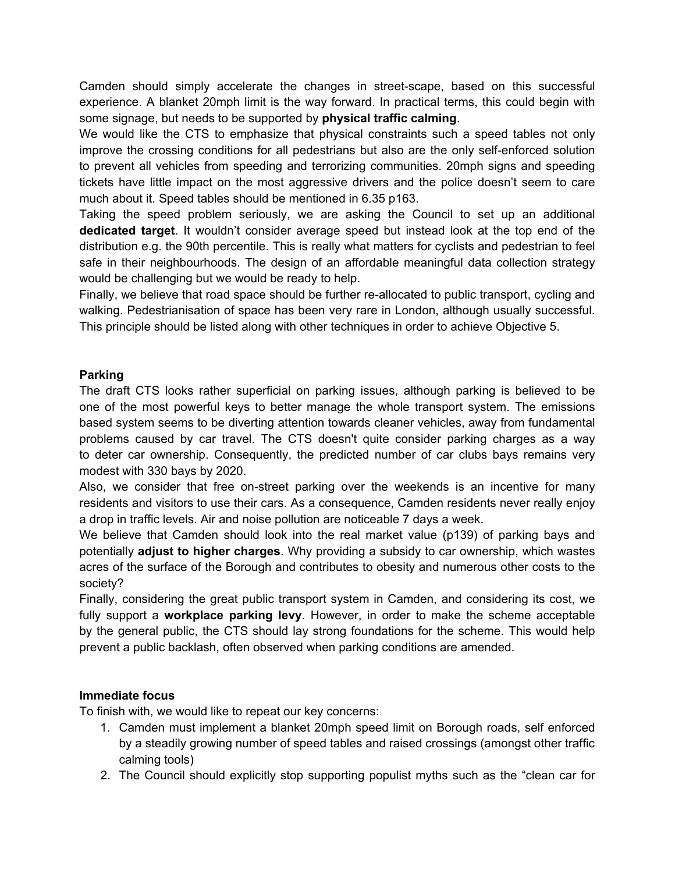Camden should simply accelerate the changes in street-scape, based on this successful experience. A blanket 20mph limit is the way forward. In practical terms, this could begin with some signage, but needs to be supported by **physical traffic calming**.

We would like the CTS to emphasize that physical constraints such a speed tables not only improve the crossing conditions for all pedestrians but also are the only self-enforced solution to prevent all vehicles from speeding and terrorizing communities. 20mph signs and speeding tickets have little impact on the most aggressive drivers and the police doesn't seem to care much about it. Speed tables should be mentioned in 6.35 p163.

Taking the speed problem seriously, we are asking the Council to set up an additional **dedicated target**. It wouldn't consider average speed but instead look at the top end of the distribution e.g. the 90th percentile. This is really what matters for cyclists and pedestrian to feel safe in their neighbourhoods. The design of an affordable meaningful data collection strategy would be challenging but we would be ready to help.

Finally, we believe that road space should be further re-allocated to public transport, cycling and walking. Pedestrianisation of space has been very rare in London, although usually successful. This principle should be listed along with other techniques in order to achieve Objective 5.

# **Parking**

The draft CTS looks rather superficial on parking issues, although parking is believed to be one of the most powerful keys to better manage the whole transport system. The emissions based system seems to be diverting attention towards cleaner vehicles, away from fundamental problems caused by car travel. The CTS doesn't quite consider parking charges as a way to deter car ownership. Consequently, the predicted number of car clubs bays remains very modest with 330 bays by 2020.

Also, we consider that free on-street parking over the weekends is an incentive for many residents and visitors to use their cars. As a consequence, Camden residents never really enjoy a drop in traffic levels. Air and noise pollution are noticeable 7 days a week.

We believe that Camden should look into the real market value (p139) of parking bays and potentially **adjust to higher charges**. Why providing a subsidy to car ownership, which wastes acres of the surface of the Borough and contributes to obesity and numerous other costs to the society?

Finally, considering the great public transport system in Camden, and considering its cost, we fully support a **workplace parking levy**. However, in order to make the scheme acceptable by the general public, the CTS should lay strong foundations for the scheme. This would help prevent a public backlash, often observed when parking conditions are amended.

# **Immediate focus**

To finish with, we would like to repeat our key concerns:

- 1. Camden must implement a blanket 20mph speed limit on Borough roads, self enforced by a steadily growing number of speed tables and raised crossings (amongst other traffic calming tools)
- 2. The Council should explicitly stop supporting populist myths such as the "clean car for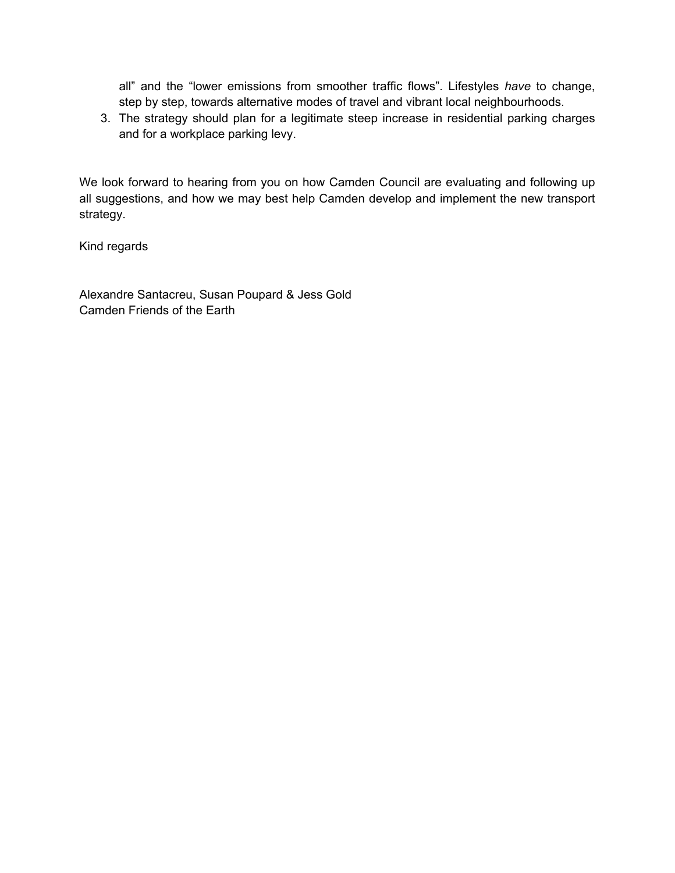all" and the "lower emissions from smoother traffic flows". Lifestyles *have* to change, step by step, towards alternative modes of travel and vibrant local neighbourhoods.

3. The strategy should plan for a legitimate steep increase in residential parking charges and for a workplace parking levy.

We look forward to hearing from you on how Camden Council are evaluating and following up all suggestions, and how we may best help Camden develop and implement the new transport strategy.

Kind regards

Alexandre Santacreu, Susan Poupard & Jess Gold Camden Friends of the Earth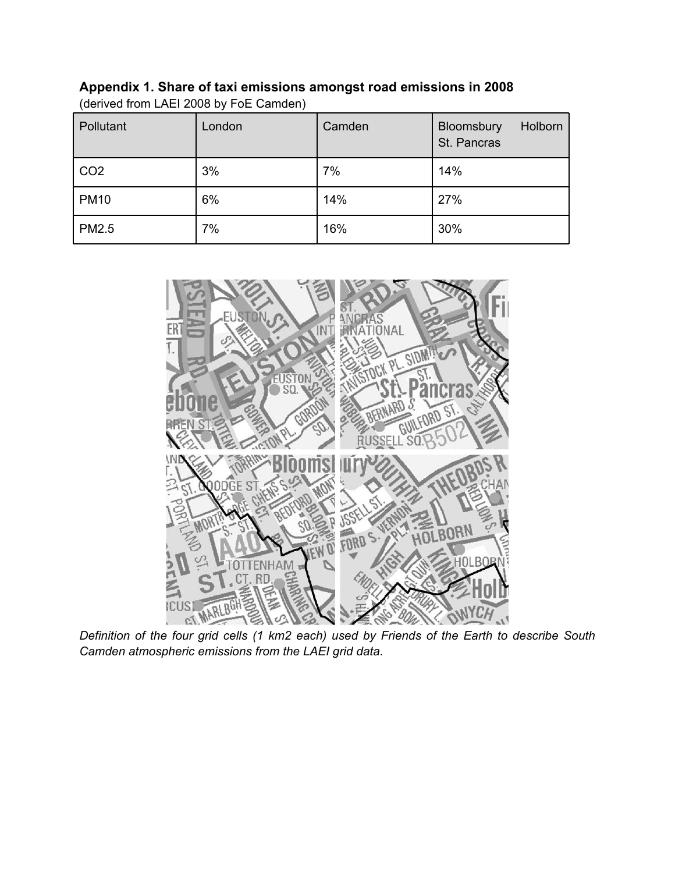| Appendix 1. Share of taxi emissions amongst road emissions in 2008 |
|--------------------------------------------------------------------|
| (derived from LAEI 2008 by FoE Camden)                             |

| Pollutant    | London | Camden | Bloomsbury<br>Holborn<br>St. Pancras |
|--------------|--------|--------|--------------------------------------|
| CO2          | 3%     | 7%     | 14%                                  |
| <b>PM10</b>  | 6%     | 14%    | 27%                                  |
| <b>PM2.5</b> | 7%     | 16%    | 30%                                  |



*Definition of the four grid cells (1 km2 each) used by Friends of the Earth to describe South Camden atmospheric emissions from the LAEI grid data.*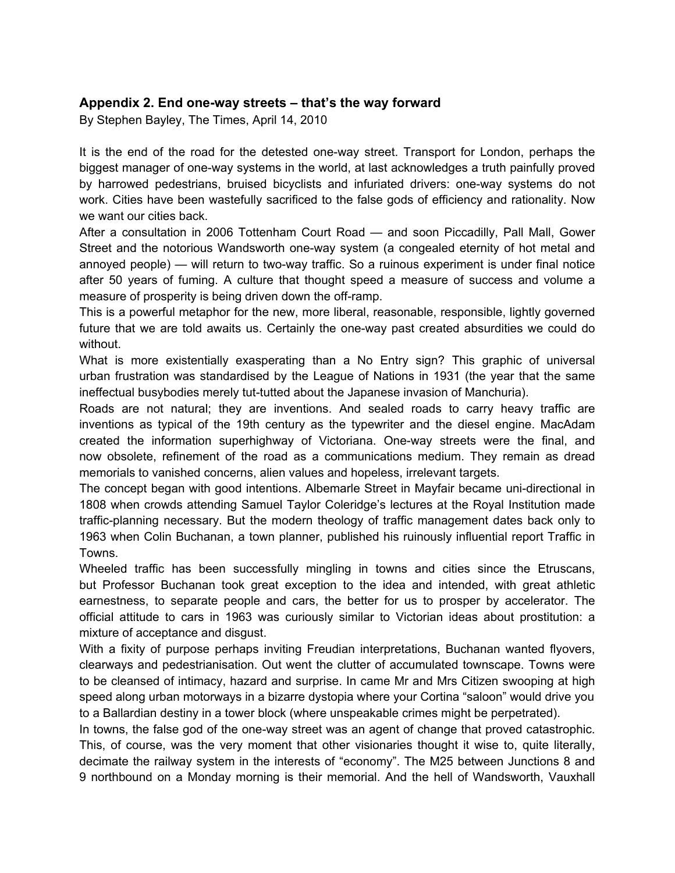# **Appendix 2. End one-way streets – that's the way forward**

By Stephen Bayley, The Times, April 14, 2010

It is the end of the road for the detested one-way street. Transport for London, perhaps the biggest manager of one-way systems in the world, at last acknowledges a truth painfully proved by harrowed pedestrians, bruised bicyclists and infuriated drivers: one-way systems do not work. Cities have been wastefully sacrificed to the false gods of efficiency and rationality. Now we want our cities back.

After a consultation in 2006 Tottenham Court Road — and soon Piccadilly, Pall Mall, Gower Street and the notorious Wandsworth one-way system (a congealed eternity of hot metal and annoyed people) — will return to two-way traffic. So a ruinous experiment is under final notice after 50 years of fuming. A culture that thought speed a measure of success and volume a measure of prosperity is being driven down the off-ramp.

This is a powerful metaphor for the new, more liberal, reasonable, responsible, lightly governed future that we are told awaits us. Certainly the one-way past created absurdities we could do without.

What is more existentially exasperating than a No Entry sign? This graphic of universal urban frustration was standardised by the League of Nations in 1931 (the year that the same ineffectual busybodies merely tut-tutted about the Japanese invasion of Manchuria).

Roads are not natural; they are inventions. And sealed roads to carry heavy traffic are inventions as typical of the 19th century as the typewriter and the diesel engine. MacAdam created the information superhighway of Victoriana. One-way streets were the final, and now obsolete, refinement of the road as a communications medium. They remain as dread memorials to vanished concerns, alien values and hopeless, irrelevant targets.

The concept began with good intentions. Albemarle Street in Mayfair became uni-directional in 1808 when crowds attending Samuel Taylor Coleridge's lectures at the Royal Institution made traffic-planning necessary. But the modern theology of traffic management dates back only to 1963 when Colin Buchanan, a town planner, published his ruinously influential report Traffic in Towns.

Wheeled traffic has been successfully mingling in towns and cities since the Etruscans, but Professor Buchanan took great exception to the idea and intended, with great athletic earnestness, to separate people and cars, the better for us to prosper by accelerator. The official attitude to cars in 1963 was curiously similar to Victorian ideas about prostitution: a mixture of acceptance and disgust.

With a fixity of purpose perhaps inviting Freudian interpretations, Buchanan wanted flyovers, clearways and pedestrianisation. Out went the clutter of accumulated townscape. Towns were to be cleansed of intimacy, hazard and surprise. In came Mr and Mrs Citizen swooping at high speed along urban motorways in a bizarre dystopia where your Cortina "saloon" would drive you to a Ballardian destiny in a tower block (where unspeakable crimes might be perpetrated).

In towns, the false god of the one-way street was an agent of change that proved catastrophic. This, of course, was the very moment that other visionaries thought it wise to, quite literally, decimate the railway system in the interests of "economy". The M25 between Junctions 8 and 9 northbound on a Monday morning is their memorial. And the hell of Wandsworth, Vauxhall